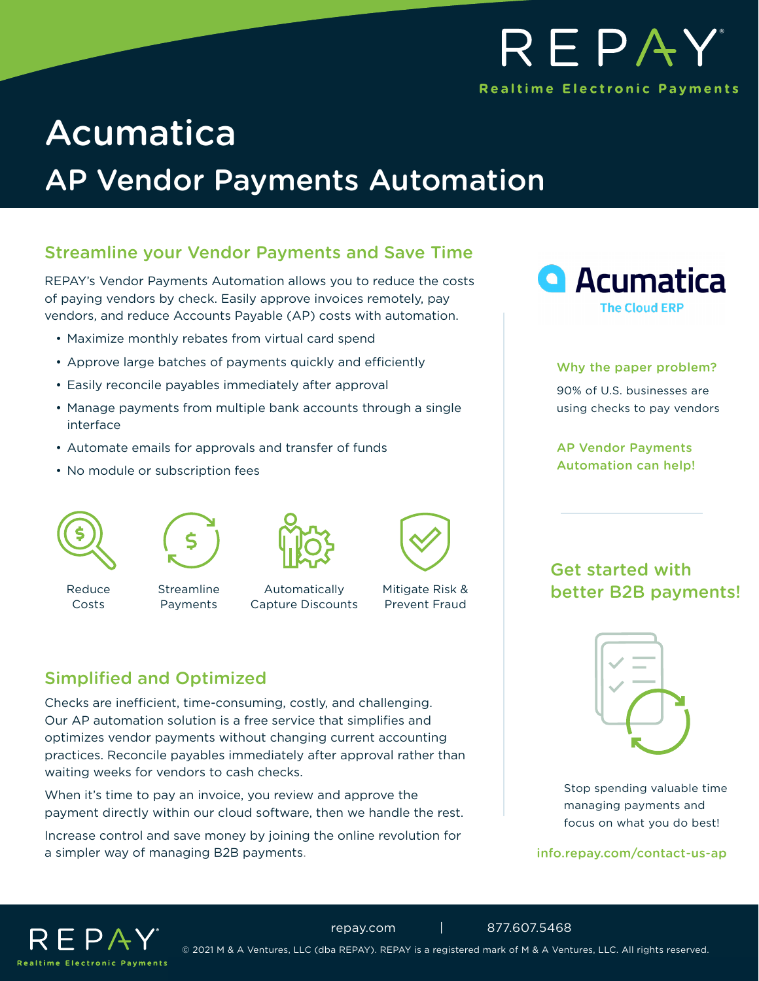

## Acumatica AP Vendor Payments Automation

## Streamline your Vendor Payments and Save Time

REPAY's Vendor Payments Automation allows you to reduce the costs of paying vendors by check. Easily approve invoices remotely, pay vendors, and reduce Accounts Payable (AP) costs with automation.

- Maximize monthly rebates from virtual card spend
- Approve large batches of payments quickly and efficiently
- Easily reconcile payables immediately after approval
- Manage payments from multiple bank accounts through a single interface
- Automate emails for approvals and transfer of funds
- No module or subscription fees





Reduce Costs



Automatically Capture Discounts



Mitigate Risk & Prevent Fraud

#### Simplified and Optimized

Checks are inefficient, time-consuming, costly, and challenging. Our AP automation solution is a free service that simplifies and optimizes vendor payments without changing current accounting practices. Reconcile payables immediately after approval rather than waiting weeks for vendors to cash checks.

When it's time to pay an invoice, you review and approve the payment directly within our cloud software, then we handle the rest.

Increase control and save money by joining the online revolution for a simpler way of managing B2B payments.



Why the paper problem?

90% of U.S. businesses are using checks to pay vendors

AP Vendor Payments Automation can help!

## Get started with better B2B payments!



Stop spending valuable time managing payments and focus on what you do best!

[info.repay.com/contact-us-ap](http://info.repay.com/contact-us-ap)



 [repay.com](https://www.repay.com/) | 877.607.5468 © 2021 M & A Ventures, LLC (dba REPAY). REPAY is a registered mark of M & A Ventures, LLC. All rights reserved.